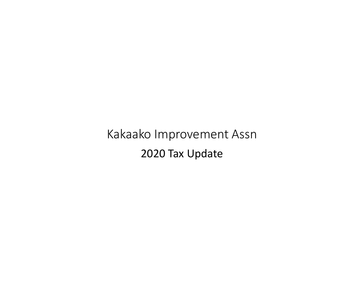Kakaako Improvement Assn 2020 Tax Update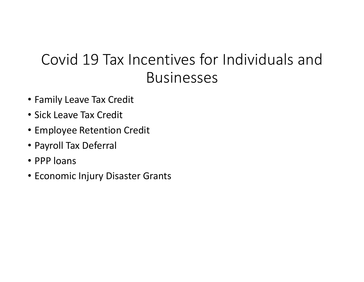# Covid 19 Tax Incentives for Individuals and<br>Businesses Businesses

- Family Leave Tax Credit
- Sick Leave Tax Credit
- Employee Retention Credit
- Payroll Tax Deferral
- PPP loans
- Economic Injury Disaster Grants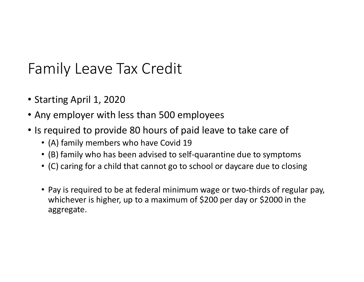## Family Leave Tax Credit

- Starting April 1, 2020
- Any employer with less than 500 employees
- Is required to provide 80 hours of paid leave to take care of
	- (A) family members who have Covid 19
	- (B) family who has been advised to self-quarantine due to symptoms
	- (C) caring for a child that cannot go to school or daycare due to closing
	- Pay is required to be at federal minimum wage or two-thirds of regular pay, whichever is higher, up to a maximum of \$200 per day or \$2000 in the aggregate.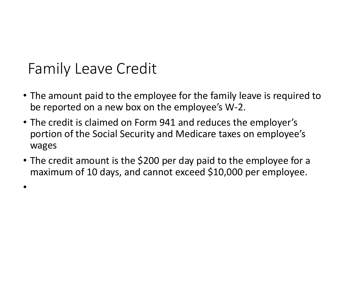## Family Leave Credit

•

- The amount paid to the employee for the family leave is required to be reported on a new box on the employee's W-2.
- The credit is claimed on Form 941 and reduces the employer's portion of the Social Security and Medicare taxes on employee's wages
- The credit amount is the \$200 per day paid to the employee for a maximum of 10 days, and cannot exceed \$10,000 per employee.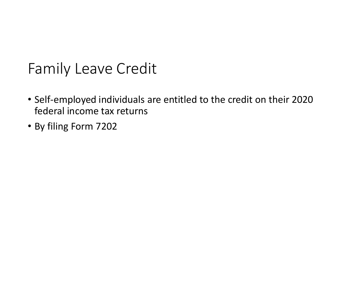## Family Leave Credit

- Self-employed individuals are entitled to the credit on their 2020 federal income tax returns
- By filing Form 7202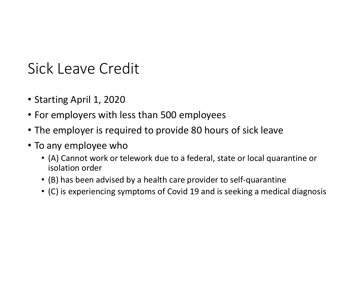## Sick Leave Credit

- Starting April 1, 2020
- For employers with less than 500 employees
- The employer is required to provide 80 hours of sick leave
- To any employee who
- (A) Cannot work or telework due to a federal, state or local quarantine or isolation order Frame Special 1, 2020<br>• (A) comployers with less than 500 employees<br>• (A) Cannot work or telework due to a federal, state or local quarantine or<br>• (A) Cannot work or telework due to a federal, state or local quarantine or<br>
	- (B) has been advised by a health care provider to self-quarantine
	-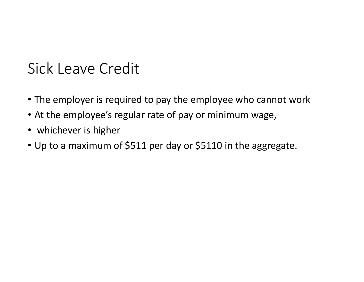## Sick Leave Credit

- The employer is required to pay the employee who cannot work
- At the employee's regular rate of pay or minimum wage,
- whichever is higher
- Up to a maximum of \$511 per day or \$5110 in the aggregate.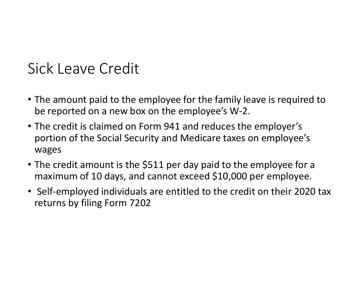## Sick Leave Credit

- The amount paid to the employee for the family leave is required to be reported on a new box on the employee's W-2.
- The credit is claimed on Form 941 and reduces the employer's portion of the Social Security and Medicare taxes on employee's wages
- The credit amount is the \$511 per day paid to the employee for a maximum of 10 days, and cannot exceed \$10,000 per employee.
- Self-employed individuals are entitled to the credit on their 2020 tax returns by filing Form 7202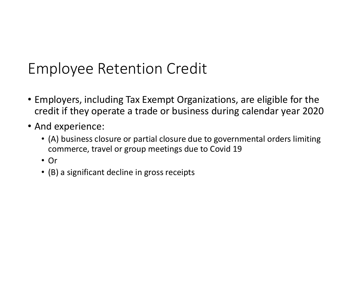- Employers, including Tax Exempt Organizations, are eligible for the credit if they operate a trade or business during calendar year 2020 ployee Retention Credit<br>ployers, including Tax Exempt Organizations, are eligible for the<br>dit if they operate a trade or business during calendar year 2020<br>d experience:<br>(A) business closure or partial closure due to gover
- And experience:
	- (A) business closure or partial closure due to governmental orders limiting
	- Or
	- (B) a significant decline in gross receipts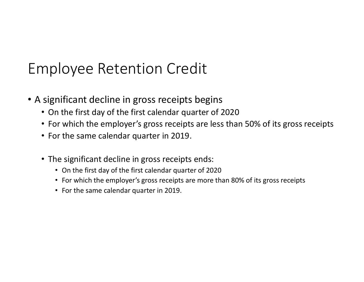- A significant decline in gross receipts begins
	- On the first day of the first calendar quarter of 2020
	- For which the employer's gross receipts are less than 50% of its gross receipts
	- For the same calendar quarter in 2019.
	- The significant decline in gross receipts ends:
		- On the first day of the first calendar quarter of 2020
		- For which the employer's gross receipts are more than 80% of its gross receipts
		- For the same calendar quarter in 2019.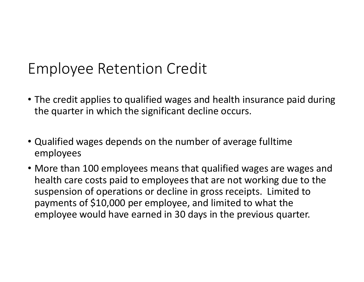- The credit applies to qualified wages and health insurance paid during the quarter in which the significant decline occurs.
- Qualified wages depends on the number of average fulltime employees
- More than 100 employees means that qualified wages are wages and health care costs paid to employees that are not working due to the suspension of operations or decline in gross receipts. Limited to payments of \$10,000 per employee, and limited to what the employee would have earned in 30 days in the previous quarter.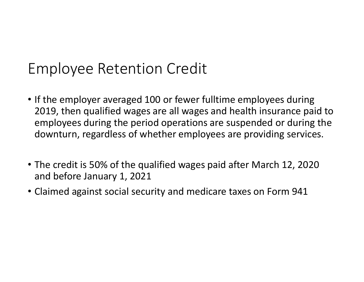- If the employer averaged 100 or fewer fulltime employees during 2019, then qualified wages are all wages and health insurance paid to employees during the period operations are suspended or during the downturn, regardless of whether employees are providing services. • If the employer averaged 100 or fewer fulltime employees during 2019, then qualified wages are all wages and health insurance paid to employees during the period operations are suspended or during the downturn, regardles
- The credit is 50% of the qualified wages paid after March 12, 2020 and before January 1, 2021
-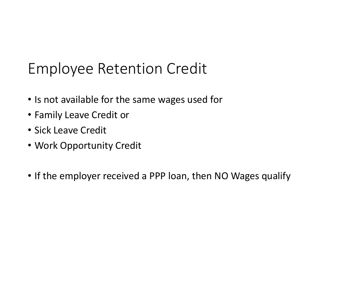- Is not available for the same wages used for
- Family Leave Credit or
- Sick Leave Credit
- Work Opportunity Credit
- If the employer received a PPP loan, then NO Wages qualify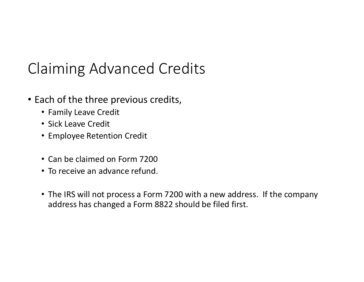# Claiming Advanced Credits

- Each of the three previous credits,
	- Family Leave Credit
	- Sick Leave Credit
	- Employee Retention Credit
	- Can be claimed on Form 7200
	- To receive an advance refund.
	- The IRS will not process a Form 7200 with a new address. If the company address has changed a Form 8822 should be filed first.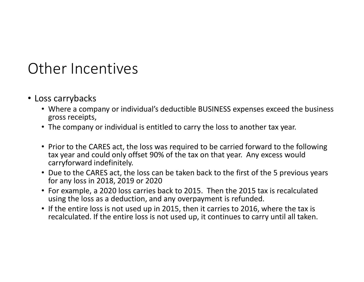#### Other Incentives

- Loss carrybacks
	- Where a company or individual's deductible BUSINESS expenses exceed the business gross receipts,
	- The company or individual is entitled to carry the loss to another tax year.
	- Prior to the CARES act, the loss was required to be carried forward to the following tax year and could only offset 90% of the tax on that year. Any excess would carryforward indefinitely.
	- Due to the CARES act, the loss can be taken back to the first of the 5 previous years for any loss in 2018, 2019 or 2020
	- For example, a 2020 loss carries back to 2015. Then the 2015 tax is recalculated using the loss as a deduction, and any overpayment is refunded.
	- If the entire loss is not used up in 2015, then it carries to 2016, where the tax is recalculated. If the entire loss is not used up, it continues to carry until all taken.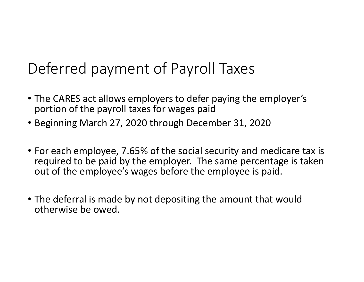# Deferred payment of Payroll Taxes

- The CARES act allows employers to defer paying the employer's portion of the payroll taxes for wages paid
- Beginning March 27, 2020 through December 31, 2020
- Deferred payment of Payroll Taxes<br>• The CARES act allows employers to defer paying the employer's<br>portion of the payroll taxes for wages paid<br>• Beginning March 27, 2020 through December 31, 2020<br>• For each employee, 7.65% required to be paid by the employer. The same percentage is taken out of the employee's wages before the employee is paid.
- The deferral is made by not depositing the amount that would otherwise be owed.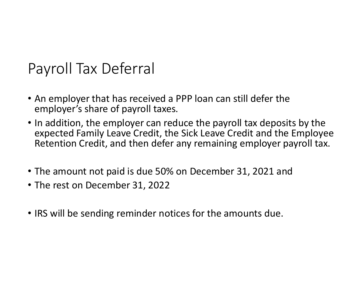## Payroll Tax Deferral

- An employer that has received a PPP loan can still defer the employer's share of payroll taxes.
- In addition, the employer can reduce the payroll tax deposits by the expected Family Leave Credit, the Sick Leave Credit and the Employee Retention Credit, and then defer any remaining employer payroll tax.
- The amount not paid is due 50% on December 31, 2021 and
- The rest on December 31, 2022
- IRS will be sending reminder notices for the amounts due.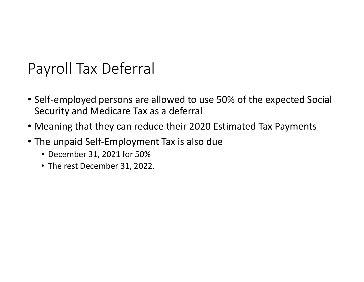## Payroll Tax Deferral

- Self-employed persons are allowed to use 50% of the expected Social Security and Medicare Tax as a deferral
- Meaning that they can reduce their 2020 Estimated Tax Payments
- The unpaid Self-Employment Tax is also due
	- December 31, 2021 for 50%
	- The rest December 31, 2022.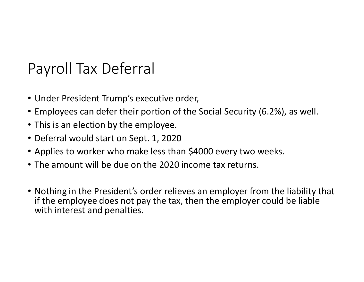## Payroll Tax Deferral

- Under President Trump's executive order,
- Employees can defer their portion of the Social Security (6.2%), as well.
- This is an election by the employee.
- Deferral would start on Sept. 1, 2020
- Applies to worker who make less than \$4000 every two weeks.
- The amount will be due on the 2020 income tax returns.
- Nothing in the President's order relieves an employer from the liability that if the employee does not pay the tax, then the employer could be liable with interest and penalties.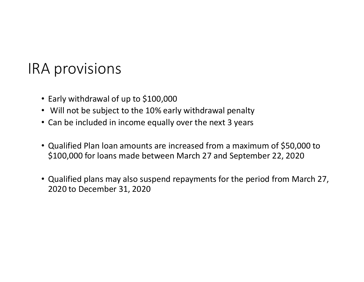#### IRA provisions

- Early withdrawal of up to \$100,000
- Will not be subject to the 10% early withdrawal penalty
- Can be included in income equally over the next 3 years
- Qualified Plan loan amounts are increased from a maximum of \$50,000 to \$100,000 for loans made between March 27 and September 22, 2020
- Qualified plans may also suspend repayments for the period from March 27, 2020 to December 31, 2020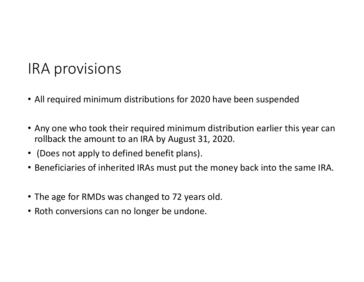#### IRA provisions

- All required minimum distributions for 2020 have been suspended
- Any one who took their required minimum distribution earlier this year can rollback the amount to an IRA by August 31, 2020.
- (Does not apply to defined benefit plans).
- Beneficiaries of inherited IRAs must put the money back into the same IRA.
- The age for RMDs was changed to 72 years old.
- Roth conversions can no longer be undone.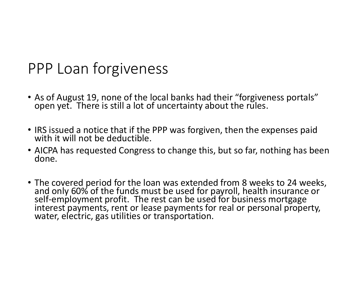#### PPP Loan forgiveness

- As of August 19, none of the local banks had their "forgiveness portals" open yet. There is still a lot of uncertainty about the rules.
- IRS issued a notice that if the PPP was forgiven, then the expenses paid with it will not be deductible.
- AICPA has requested Congress to change this, but so far, nothing has been done.
- The covered period for the loan was extended from 8 weeks to 24 weeks, and only 60% of the funds must be used for payroll, health insurance or self-employment profit. The rest can be used for business mortgage interest p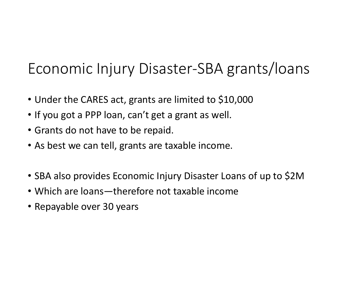## Economic Injury Disaster-SBA grants/loans

- Under the CARES act, grants are limited to \$10,000
- If you got a PPP loan, can't get a grant as well.
- Grants do not have to be repaid.
- As best we can tell, grants are taxable income.
- SBA also provides Economic Injury Disaster Loans of up to \$2M
- Which are loans—therefore not taxable income
- Repayable over 30 years